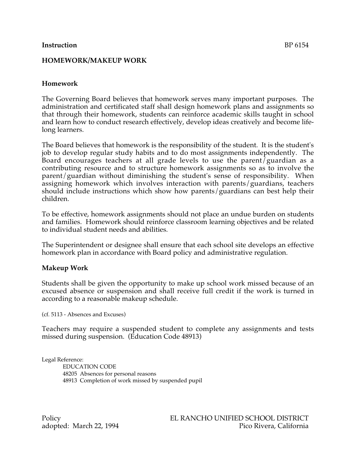### **Instruction** BP 6154

## **HOMEWORK/MAKEUP WORK**

# **Homework**

The Governing Board believes that homework serves many important purposes. The administration and certificated staff shall design homework plans and assignments so that through their homework, students can reinforce academic skills taught in school and learn how to conduct research effectively, develop ideas creatively and become lifelong learners.

The Board believes that homework is the responsibility of the student. It is the student's job to develop regular study habits and to do most assignments independently. The Board encourages teachers at all grade levels to use the parent/guardian as a contributing resource and to structure homework assignments so as to involve the parent/guardian without diminishing the student's sense of responsibility. When assigning homework which involves interaction with parents/guardians, teachers should include instructions which show how parents/guardians can best help their children.

To be effective, homework assignments should not place an undue burden on students and families. Homework should reinforce classroom learning objectives and be related to individual student needs and abilities.

The Superintendent or designee shall ensure that each school site develops an effective homework plan in accordance with Board policy and administrative regulation.

## **Makeup Work**

Students shall be given the opportunity to make up school work missed because of an excused absence or suspension and shall receive full credit if the work is turned in according to a reasonable makeup schedule.

(cf. 5113 - Absences and Excuses)

Teachers may require a suspended student to complete any assignments and tests missed during suspension. (Education Code 48913)

Legal Reference: EDUCATION CODE 48205 Absences for personal reasons 48913 Completion of work missed by suspended pupil